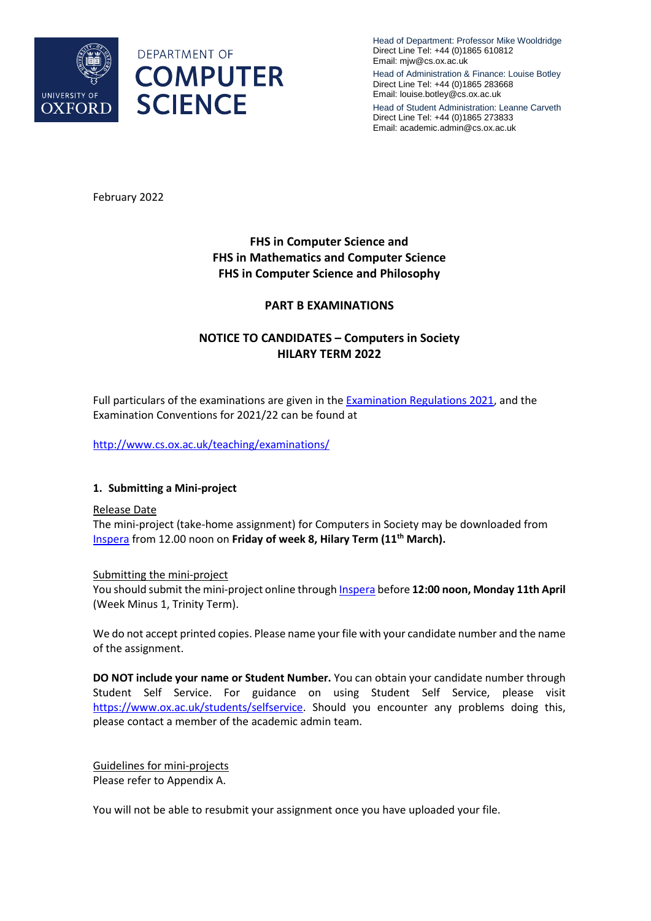

Head of Department: Professor Mike Wooldridge Direct Line Tel: +44 (0)1865 610812 Email: mjw@cs.ox.ac.uk

Head of Administration & Finance: Louise Botley Direct Line Tel: +44 (0)1865 283668 Email: louise.botley@cs.ox.ac.uk

Head of Student Administration: Leanne Carveth Direct Line Tel: +44 (0)1865 273833 Email: academic.admin@cs.ox.ac.uk

February 2022

# **FHS in Computer Science and FHS in Mathematics and Computer Science FHS in Computer Science and Philosophy**

## **PART B EXAMINATIONS**

# **NOTICE TO CANDIDATES – Computers in Society HILARY TERM 2022**

Full particulars of the examinations are given in th[e Examination Regulations 202](https://www.admin.ox.ac.uk/examregs/)1, and the Examination Conventions for 2021/22 can be found at

<http://www.cs.ox.ac.uk/teaching/examinations/>

### **1. Submitting a Mini-project**

#### Release Date

The mini-project (take-home assignment) for Computers in Society may be downloaded from [Inspera f](https://oxford.inspera.com/)rom 12.00 noon on **Friday of week 8, Hilary Term (11th March).**

#### Submitting the mini-project

You should submit the mini-project online through **Inspera** before 12:00 noon, Monday 11th April (Week Minus 1, Trinity Term).

We do not accept printed copies. Please name your file with your candidate number and the name of the assignment.

**DO NOT include your name or Student Number.** You can obtain your candidate number through Student Self Service. For guidance on using Student Self Service, please visit [https://www.ox.ac.uk/students/selfservice.](https://www.ox.ac.uk/students/selfservice) Should you encounter any problems doing this, please contact a member of the academic admin team.

Guidelines for mini-projects Please refer to Appendix A.

You will not be able to resubmit your assignment once you have uploaded your file.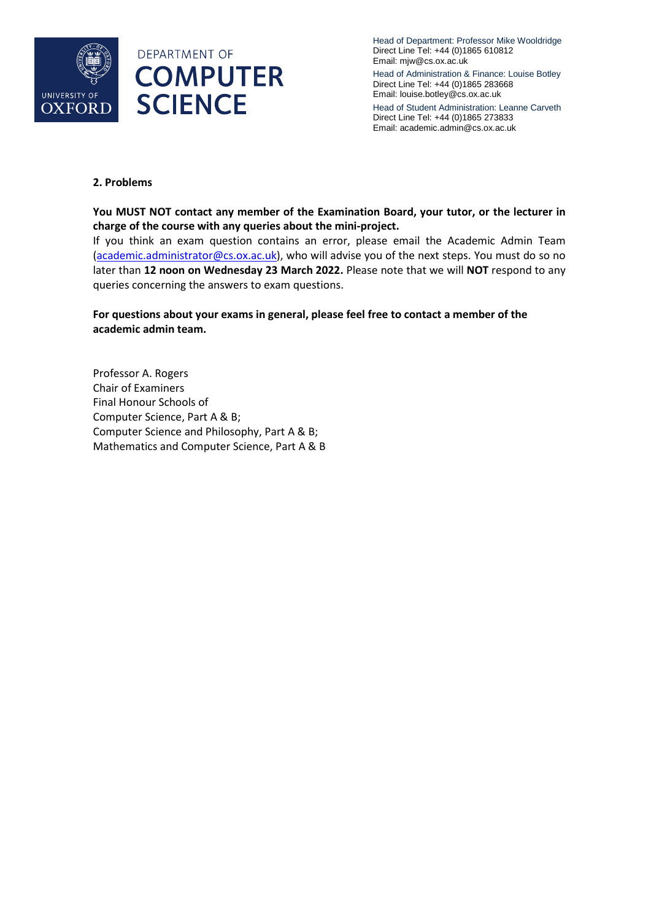



Head of Department: Professor Mike Wooldridge Direct Line Tel: +44 (0)1865 610812 Email: mjw@cs.ox.ac.uk

Head of Administration & Finance: Louise Botley Direct Line Tel: +44 (0)1865 283668 Email: louise.botley@cs.ox.ac.uk

Head of Student Administration: Leanne Carveth Direct Line Tel: +44 (0)1865 273833 Email: academic.admin@cs.ox.ac.uk

## **2. Problems**

**You MUST NOT contact any member of the Examination Board, your tutor, or the lecturer in charge of the course with any queries about the mini-project.** 

If you think an exam question contains an error, please email the Academic Admin Team [\(academic.administrator@cs.ox.ac.uk\)](mailto:academic.administrator@cs.ox.ac.uk), who will advise you of the next steps. You must do so no later than **12 noon on Wednesday 23 March 2022.** Please note that we will **NOT** respond to any queries concerning the answers to exam questions.

# **For questions about your exams in general, please feel free to contact a member of the academic admin team.**

Professor A. Rogers Chair of Examiners Final Honour Schools of Computer Science, Part A & B; Computer Science and Philosophy, Part A & B; Mathematics and Computer Science, Part A & B